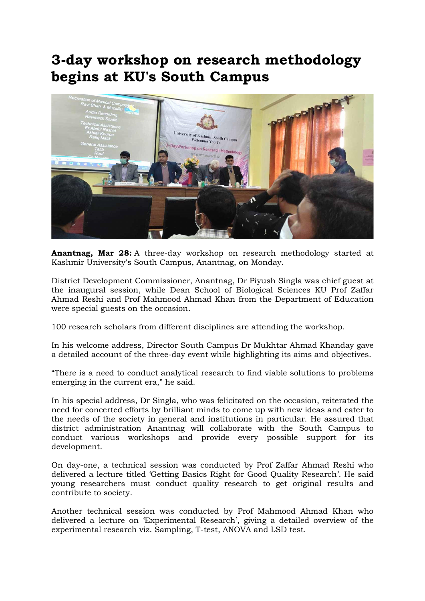## 3-day workshop on research methodology begins at KU's South Campus



Anantnag, Mar 28: A three-day workshop on research methodology started at Kashmir University's South Campus, Anantnag, on Monday.

District Development Commissioner, Anantnag, Dr Piyush Singla was chief guest at the inaugural session, while Dean School of Biological Sciences KU Prof Zaffar Ahmad Reshi and Prof Mahmood Ahmad Khan from the Department of Education were special guests on the occasion.

100 research scholars from different disciplines are attending the workshop.

In his welcome address, Director South Campus Dr Mukhtar Ahmad Khanday gave a detailed account of the three-day event while highlighting its aims and objectives.

"There is a need to conduct analytical research to find viable solutions to problems emerging in the current era," he said.

In his special address, Dr Singla, who was felicitated on the occasion, reiterated the need for concerted efforts by brilliant minds to come up with new ideas and cater to the needs of the society in general and institutions in particular. He assured that district administration Anantnag will collaborate with the South Campus to conduct various workshops and provide every possible support for its development.

On day-one, a technical session was conducted by Prof Zaffar Ahmad Reshi who delivered a lecture titled 'Getting Basics Right for Good Quality Research'. He said young researchers must conduct quality research to get original results and contribute to society.

Another technical session was conducted by Prof Mahmood Ahmad Khan who delivered a lecture on 'Experimental Research', giving a detailed overview of the experimental research viz. Sampling, T-test, ANOVA and LSD test.